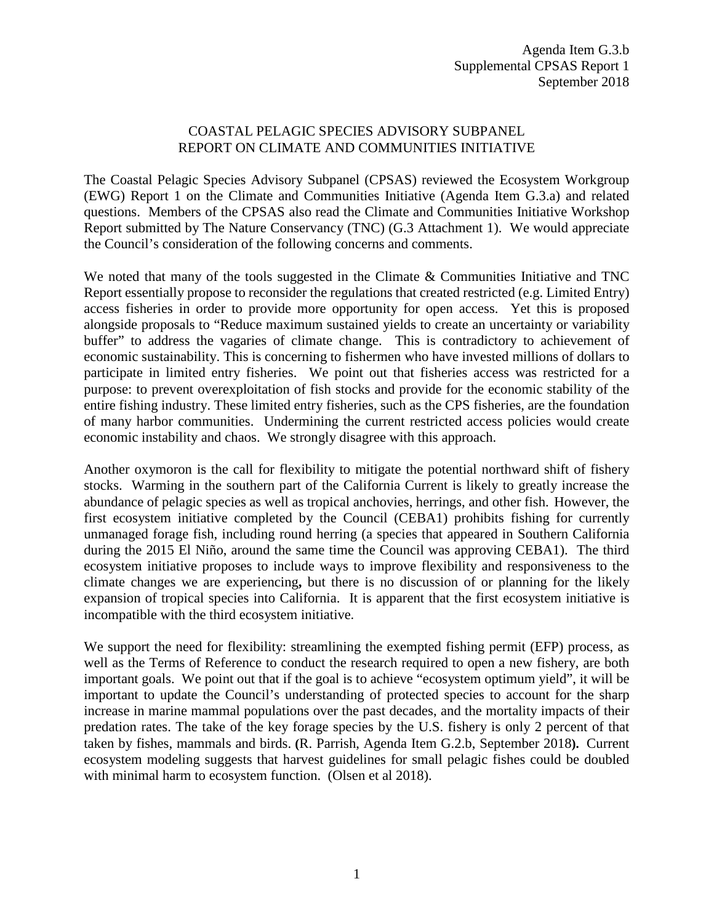## COASTAL PELAGIC SPECIES ADVISORY SUBPANEL REPORT ON CLIMATE AND COMMUNITIES INITIATIVE

The Coastal Pelagic Species Advisory Subpanel (CPSAS) reviewed the Ecosystem Workgroup (EWG) Report 1 on the Climate and Communities Initiative (Agenda Item G.3.a) and related questions. Members of the CPSAS also read the Climate and Communities Initiative Workshop Report submitted by The Nature Conservancy (TNC) (G.3 Attachment 1). We would appreciate the Council's consideration of the following concerns and comments.

We noted that many of the tools suggested in the Climate & Communities Initiative and TNC Report essentially propose to reconsider the regulations that created restricted (e.g. Limited Entry) access fisheries in order to provide more opportunity for open access. Yet this is proposed alongside proposals to "Reduce maximum sustained yields to create an uncertainty or variability buffer" to address the vagaries of climate change. This is contradictory to achievement of economic sustainability. This is concerning to fishermen who have invested millions of dollars to participate in limited entry fisheries. We point out that fisheries access was restricted for a purpose: to prevent overexploitation of fish stocks and provide for the economic stability of the entire fishing industry. These limited entry fisheries, such as the CPS fisheries, are the foundation of many harbor communities. Undermining the current restricted access policies would create economic instability and chaos. We strongly disagree with this approach.

Another oxymoron is the call for flexibility to mitigate the potential northward shift of fishery stocks. Warming in the southern part of the California Current is likely to greatly increase the abundance of pelagic species as well as tropical anchovies, herrings, and other fish. However, the first ecosystem initiative completed by the Council (CEBA1) prohibits fishing for currently unmanaged forage fish, including round herring (a species that appeared in Southern California during the 2015 El Niño, around the same time the Council was approving CEBA1). The third ecosystem initiative proposes to include ways to improve flexibility and responsiveness to the climate changes we are experiencing**,** but there is no discussion of or planning for the likely expansion of tropical species into California.It is apparent that the first ecosystem initiative is incompatible with the third ecosystem initiative.

We support the need for flexibility: streamlining the exempted fishing permit (EFP) process, as well as the Terms of Reference to conduct the research required to open a new fishery, are both important goals. We point out that if the goal is to achieve "ecosystem optimum yield", it will be important to update the Council's understanding of protected species to account for the sharp increase in marine mammal populations over the past decades, and the mortality impacts of their predation rates. The take of the key forage species by the U.S. fishery is only 2 percent of that taken by fishes, mammals and birds. **(**R. Parrish, Agenda Item G.2.b, September 2018**).** Current ecosystem modeling suggests that harvest guidelines for small pelagic fishes could be doubled with minimal harm to ecosystem function. (Olsen et al 2018).